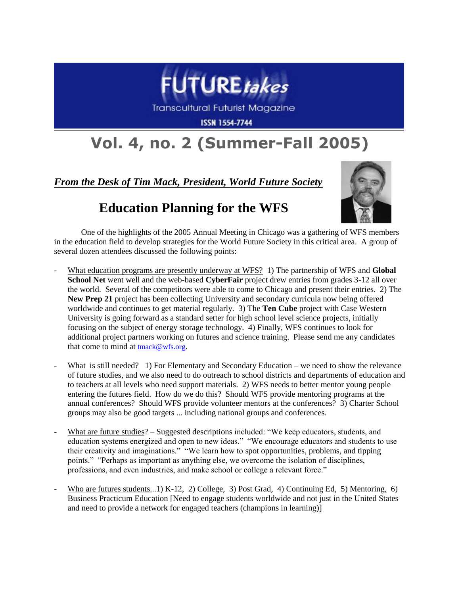

**Transcultural Futurist Magazine** 

**ISSN 1554-7744** 

## **Vol. 4, no. 2 (Summer-Fall 2005)**

*From the Desk of Tim Mack, President, World Future Society*

## **Education Planning for the WFS**



One of the highlights of the 2005 Annual Meeting in Chicago was a gathering of WFS members in the education field to develop strategies for the World Future Society in this critical area. A group of several dozen attendees discussed the following points:

- What education programs are presently underway at WFS? 1) The partnership of WFS and **Global School Net** went well and the web-based **CyberFair** project drew entries from grades 3-12 all over the world. Several of the competitors were able to come to Chicago and present their entries. 2) The **New Prep 21** project has been collecting University and secondary curricula now being offered worldwide and continues to get material regularly. 3) The **Ten Cube** project with Case Western University is going forward as a standard setter for high school level science projects, initially focusing on the subject of energy storage technology. 4) Finally, WFS continues to look for additional project partners working on futures and science training. Please send me any candidates that come to mind at [tmack@wfs.org](mailto:tmack@wfs.org).
- What is still needed? 1) For Elementary and Secondary Education we need to show the relevance of future studies, and we also need to do outreach to school districts and departments of education and to teachers at all levels who need support materials. 2) WFS needs to better mentor young people entering the futures field. How do we do this? Should WFS provide mentoring programs at the annual conferences? Should WFS provide volunteer mentors at the conferences? 3) Charter School groups may also be good targets ... including national groups and conferences.
- What are future studies? Suggested descriptions included: "We keep educators, students, and education systems energized and open to new ideas." "We encourage educators and students to use their creativity and imaginations." "We learn how to spot opportunities, problems, and tipping points." "Perhaps as important as anything else, we overcome the isolation of disciplines, professions, and even industries, and make school or college a relevant force."
- Who are futures students...1) K-12, 2) College, 3) Post Grad, 4) Continuing Ed, 5) Mentoring, 6) Business Practicum Education [Need to engage students worldwide and not just in the United States and need to provide a network for engaged teachers (champions in learning)]